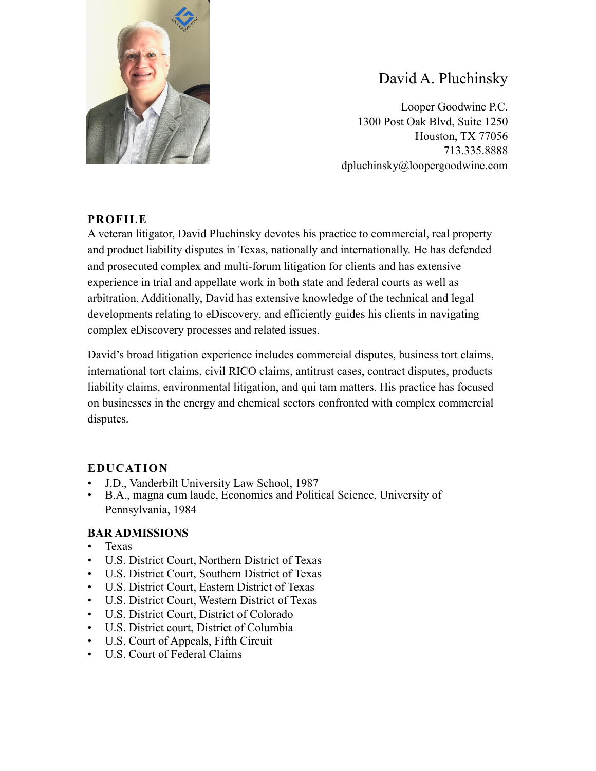

# David A. Pluchinsky

Looper Goodwine P.C. 1300 Post Oak Blvd, Suite 1250 Houston, TX 77056 713.335.8888 dpluchinsky@loopergoodwine.com

## **PROFILE**

A veteran litigator, David Pluchinsky devotes his practice to commercial, real property and product liability disputes in Texas, nationally and internationally. He has defended and prosecuted complex and multi-forum litigation for clients and has extensive experience in trial and appellate work in both state and federal courts as well as arbitration. Additionally, David has extensive knowledge of the technical and legal developments relating to eDiscovery, and efficiently guides his clients in navigating complex eDiscovery processes and related issues.

David's broad litigation experience includes commercial disputes, business tort claims, international tort claims, civil RICO claims, antitrust cases, contract disputes, products liability claims, environmental litigation, and qui tam matters. His practice has focused on businesses in the energy and chemical sectors confronted with complex commercial disputes.

## **EDUCATION**

- J.D., Vanderbilt University Law School, 1987
- B.A., magna cum laude, Economics and Political Science, University of Pennsylvania, 1984

## **BAR ADMISSIONS**

- Texas
- U.S. District Court, Northern District of Texas
- U.S. District Court, Southern District of Texas
- U.S. District Court, Eastern District of Texas
- U.S. District Court, Western District of Texas
- U.S. District Court, District of Colorado
- U.S. District court, District of Columbia
- U.S. Court of Appeals, Fifth Circuit
- U.S. Court of Federal Claims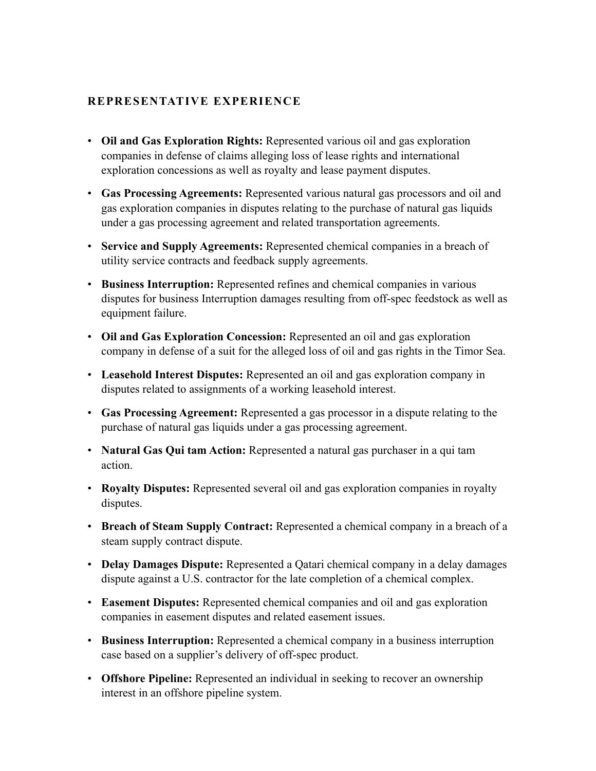#### **REPRESENTATIVE EXPERIENCE**

- **Oil and Gas Exploration Rights:** Represented various oil and gas exploration companies in defense of claims alleging loss of lease rights and international exploration concessions as well as royalty and lease payment disputes.
- **Gas Processing Agreements:** Represented various natural gas processors and oil and gas exploration companies in disputes relating to the purchase of natural gas liquids under a gas processing agreement and related transportation agreements.
- **Service and Supply Agreements:** Represented chemical companies in a breach of utility service contracts and feedback supply agreements.
- **Business Interruption:** Represented refines and chemical companies in various disputes for business Interruption damages resulting from off-spec feedstock as well as equipment failure.
- **Oil and Gas Exploration Concession:** Represented an oil and gas exploration company in defense of a suit for the alleged loss of oil and gas rights in the Timor Sea.
- **Leasehold Interest Disputes:** Represented an oil and gas exploration company in disputes related to assignments of a working leasehold interest.
- **Gas Processing Agreement:** Represented a gas processor in a dispute relating to the purchase of natural gas liquids under a gas processing agreement.
- **Natural Gas Qui tam Action:** Represented a natural gas purchaser in a qui tam action.
- **Royalty Disputes:** Represented several oil and gas exploration companies in royalty disputes.
- **Breach of Steam Supply Contract:** Represented a chemical company in a breach of a steam supply contract dispute.
- **Delay Damages Dispute:** Represented a Qatari chemical company in a delay damages dispute against a U.S. contractor for the late completion of a chemical complex.
- **Easement Disputes:** Represented chemical companies and oil and gas exploration companies in easement disputes and related easement issues.
- **Business Interruption:** Represented a chemical company in a business interruption case based on a supplier's delivery of off-spec product.
- **Offshore Pipeline:** Represented an individual in seeking to recover an ownership interest in an offshore pipeline system.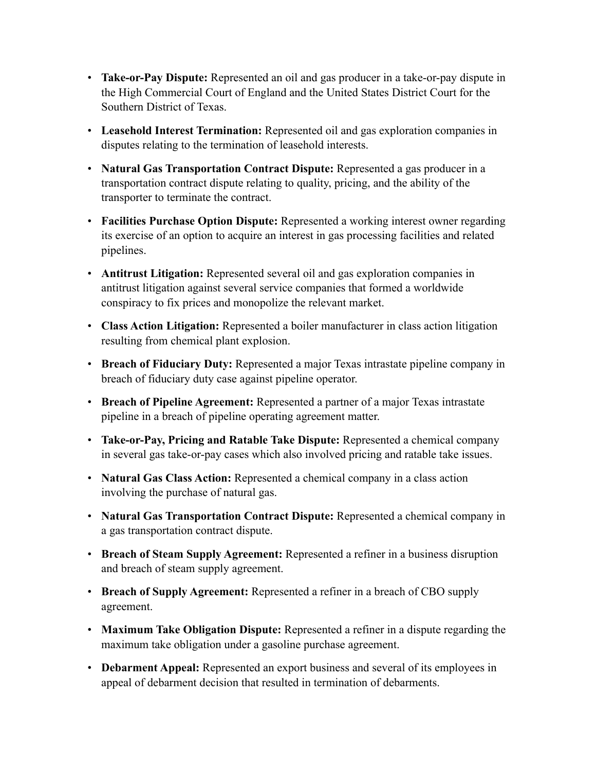- **Take-or-Pay Dispute:** Represented an oil and gas producer in a take-or-pay dispute in the High Commercial Court of England and the United States District Court for the Southern District of Texas.
- **Leasehold Interest Termination:** Represented oil and gas exploration companies in disputes relating to the termination of leasehold interests.
- **Natural Gas Transportation Contract Dispute:** Represented a gas producer in a transportation contract dispute relating to quality, pricing, and the ability of the transporter to terminate the contract.
- **Facilities Purchase Option Dispute:** Represented a working interest owner regarding its exercise of an option to acquire an interest in gas processing facilities and related pipelines.
- **Antitrust Litigation:** Represented several oil and gas exploration companies in antitrust litigation against several service companies that formed a worldwide conspiracy to fix prices and monopolize the relevant market.
- **Class Action Litigation:** Represented a boiler manufacturer in class action litigation resulting from chemical plant explosion.
- **Breach of Fiduciary Duty:** Represented a major Texas intrastate pipeline company in breach of fiduciary duty case against pipeline operator.
- **Breach of Pipeline Agreement:** Represented a partner of a major Texas intrastate pipeline in a breach of pipeline operating agreement matter.
- **Take-or-Pay, Pricing and Ratable Take Dispute:** Represented a chemical company in several gas take-or-pay cases which also involved pricing and ratable take issues.
- **Natural Gas Class Action:** Represented a chemical company in a class action involving the purchase of natural gas.
- **Natural Gas Transportation Contract Dispute:** Represented a chemical company in a gas transportation contract dispute.
- **Breach of Steam Supply Agreement:** Represented a refiner in a business disruption and breach of steam supply agreement.
- **Breach of Supply Agreement:** Represented a refiner in a breach of CBO supply agreement.
- **Maximum Take Obligation Dispute:** Represented a refiner in a dispute regarding the maximum take obligation under a gasoline purchase agreement.
- **Debarment Appeal:** Represented an export business and several of its employees in appeal of debarment decision that resulted in termination of debarments.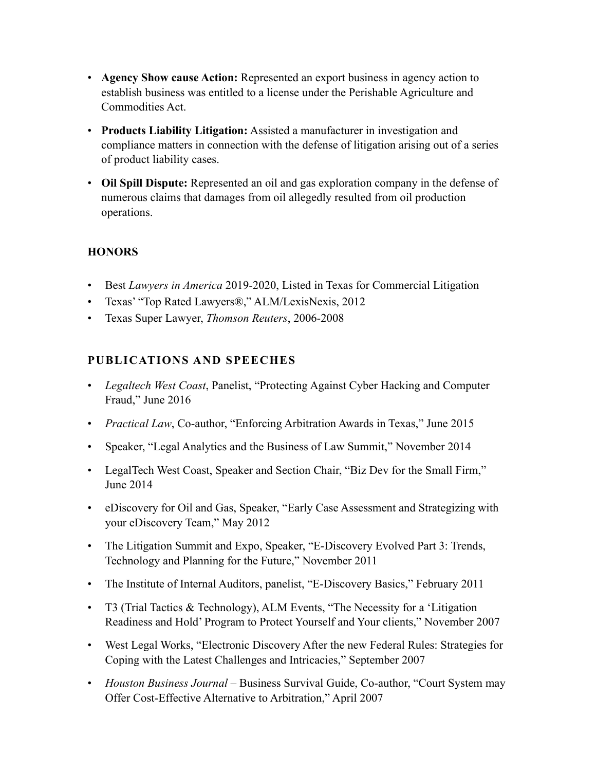- **Agency Show cause Action:** Represented an export business in agency action to establish business was entitled to a license under the Perishable Agriculture and Commodities Act.
- **Products Liability Litigation:** Assisted a manufacturer in investigation and compliance matters in connection with the defense of litigation arising out of a series of product liability cases.
- **Oil Spill Dispute:** Represented an oil and gas exploration company in the defense of numerous claims that damages from oil allegedly resulted from oil production operations.

## **HONORS**

- Best *Lawyers in America* 2019-2020, Listed in Texas for Commercial Litigation
- Texas' "Top Rated Lawyers®," ALM/LexisNexis, 2012
- Texas Super Lawyer, *Thomson Reuters*, 2006-2008

## **PUBLICATIONS AND SPEECHES**

- *Legaltech West Coast*, Panelist, "Protecting Against Cyber Hacking and Computer Fraud," June 2016
- *Practical Law*, Co-author, "Enforcing Arbitration Awards in Texas," June 2015
- Speaker, "Legal Analytics and the Business of Law Summit," November 2014
- LegalTech West Coast, Speaker and Section Chair, "Biz Dev for the Small Firm," June 2014
- eDiscovery for Oil and Gas, Speaker, "Early Case Assessment and Strategizing with your eDiscovery Team," May 2012
- The Litigation Summit and Expo, Speaker, "E-Discovery Evolved Part 3: Trends, Technology and Planning for the Future," November 2011
- The Institute of Internal Auditors, panelist, "E-Discovery Basics," February 2011
- T3 (Trial Tactics & Technology), ALM Events, "The Necessity for a 'Litigation Readiness and Hold' Program to Protect Yourself and Your clients," November 2007
- West Legal Works, "Electronic Discovery After the new Federal Rules: Strategies for Coping with the Latest Challenges and Intricacies," September 2007
- *Houston Business Journal* Business Survival Guide, Co-author, "Court System may Offer Cost-Effective Alternative to Arbitration," April 2007